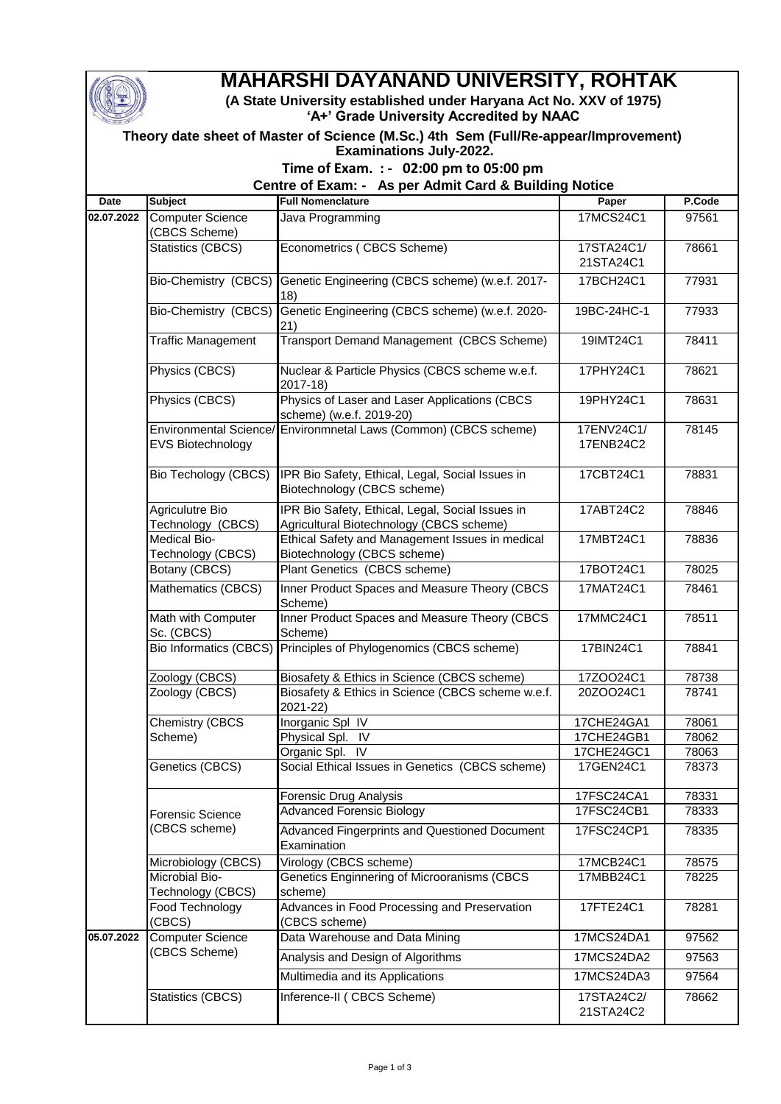

## **MAHARSHI DAYANAND UNIVERSITY, ROHTAK**

**(A State University established under Haryana Act No. XXV of 1975) 'A+' Grade University Accredited by NAAC**

| Theory date sheet of Master of Science (M.Sc.) 4th Sem (Full/Re-appear/Improvement) |
|-------------------------------------------------------------------------------------|
| <b>Examinations July-2022.</b>                                                      |

## **Time of Exam. : - 02:00 pm to 05:00 pm**

**Centre of Exam: - As per Admit Card & Building Notice** 

| <b>Date</b> | <b>Subject</b>                              | <b>Full Nomenclature</b>                                                                     | Paper                   | P.Code |
|-------------|---------------------------------------------|----------------------------------------------------------------------------------------------|-------------------------|--------|
| 02.07.2022  | <b>Computer Science</b><br>(CBCS Scheme)    | Java Programming                                                                             | 17MCS24C1               | 97561  |
|             | Statistics (CBCS)                           | Econometrics (CBCS Scheme)                                                                   | 17STA24C1/<br>21STA24C1 | 78661  |
|             |                                             | Bio-Chemistry (CBCS) Genetic Engineering (CBCS scheme) (w.e.f. 2017-<br>18)                  | 17BCH24C1               | 77931  |
|             | <b>Bio-Chemistry (CBCS)</b>                 | Genetic Engineering (CBCS scheme) (w.e.f. 2020-<br>21)                                       | 19BC-24HC-1             | 77933  |
|             | <b>Traffic Management</b>                   | <b>Transport Demand Management (CBCS Scheme)</b>                                             | 19IMT24C1               | 78411  |
|             | Physics (CBCS)                              | Nuclear & Particle Physics (CBCS scheme w.e.f.<br>2017-18)                                   | 17PHY24C1               | 78621  |
|             | Physics (CBCS)                              | Physics of Laser and Laser Applications (CBCS<br>scheme) (w.e.f. 2019-20)                    | 19PHY24C1               | 78631  |
|             | EVS Biotechnology                           | Environmental Science/ Environmnetal Laws (Common) (CBCS scheme)                             | 17ENV24C1/<br>17ENB24C2 | 78145  |
|             | Bio Techology (CBCS)                        | IPR Bio Safety, Ethical, Legal, Social Issues in<br>Biotechnology (CBCS scheme)              | 17CBT24C1               | 78831  |
|             | <b>Agriculutre Bio</b><br>Technology (CBCS) | IPR Bio Safety, Ethical, Legal, Social Issues in<br>Agricultural Biotechnology (CBCS scheme) | 17ABT24C2               | 78846  |
|             | Medical Bio-<br>Technology (CBCS)           | Ethical Safety and Management Issues in medical<br>Biotechnology (CBCS scheme)               | 17MBT24C1               | 78836  |
|             | Botany (CBCS)                               | Plant Genetics (CBCS scheme)                                                                 | 17BOT24C1               | 78025  |
|             | Mathematics (CBCS)                          | Inner Product Spaces and Measure Theory (CBCS<br>Scheme)                                     | 17MAT24C1               | 78461  |
|             | Math with Computer<br>Sc. (CBCS)            | Inner Product Spaces and Measure Theory (CBCS<br>Scheme)                                     | 17MMC24C1               | 78511  |
|             | <b>Bio Informatics (CBCS)</b>               | Principles of Phylogenomics (CBCS scheme)                                                    | 17BIN24C1               | 78841  |
|             | Zoology (CBCS)                              | Biosafety & Ethics in Science (CBCS scheme)                                                  | 17ZOO24C1               | 78738  |
|             | Zoology (CBCS)                              | Biosafety & Ethics in Science (CBCS scheme w.e.f.<br>2021-22)                                | 20ZOO24C1               | 78741  |
|             | <b>Chemistry (CBCS</b><br>Scheme)           | Inorganic Spl IV                                                                             | 17CHE24GA1              | 78061  |
|             |                                             | Physical Spl. IV                                                                             | 17CHE24GB1              | 78062  |
|             |                                             | IV<br>Organic Spl.                                                                           | 17CHE24GC1              | 78063  |
|             | Genetics (CBCS)                             | Social Ethical Issues in Genetics (CBCS scheme)                                              | 17GEN24C1               | 78373  |
|             |                                             | Forensic Drug Analysis                                                                       | 17FSC24CA1              | 78331  |
|             | Forensic Science                            | <b>Advanced Forensic Biology</b>                                                             | 17FSC24CB1              | 78333  |
|             | (CBCS scheme)                               | Advanced Fingerprints and Questioned Document<br>Examination                                 | 17FSC24CP1              | 78335  |
|             | Microbiology (CBCS)                         | Virology (CBCS scheme)                                                                       | 17MCB24C1               | 78575  |
|             | Microbial Bio-<br>Technology (CBCS)         | Genetics Enginnering of Microoranisms (CBCS<br>scheme)                                       | 17MBB24C1               | 78225  |
|             | Food Technology<br>(CBCS)                   | Advances in Food Processing and Preservation<br>(CBCS scheme)                                | 17FTE24C1               | 78281  |
| 05.07.2022  | <b>Computer Science</b>                     | Data Warehouse and Data Mining                                                               | 17MCS24DA1              | 97562  |
|             | (CBCS Scheme)                               | Analysis and Design of Algorithms                                                            | 17MCS24DA2              | 97563  |
|             |                                             | Multimedia and its Applications                                                              | 17MCS24DA3              | 97564  |
|             | Statistics (CBCS)                           | Inference-II ( CBCS Scheme)                                                                  | 17STA24C2/<br>21STA24C2 | 78662  |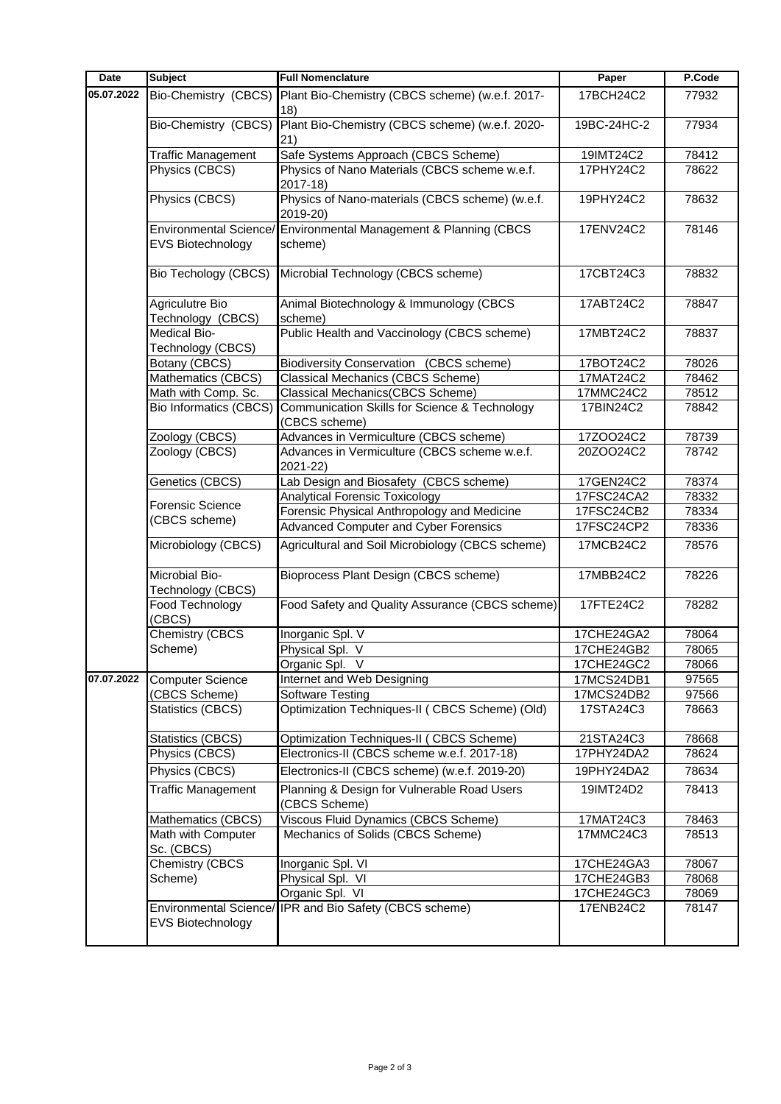| <b>Date</b> | <b>Subject</b>                           | <b>Full Nomenclature</b>                                                    | Paper       | P.Code |
|-------------|------------------------------------------|-----------------------------------------------------------------------------|-------------|--------|
| 05.07.2022  | Bio-Chemistry (CBCS)                     | Plant Bio-Chemistry (CBCS scheme) (w.e.f. 2017-<br>18)                      | 17BCH24C2   | 77932  |
|             | Bio-Chemistry (CBCS)                     | Plant Bio-Chemistry (CBCS scheme) (w.e.f. 2020-<br>21)                      | 19BC-24HC-2 | 77934  |
|             | <b>Traffic Management</b>                | Safe Systems Approach (CBCS Scheme)                                         | 19IMT24C2   | 78412  |
|             | Physics (CBCS)                           | Physics of Nano Materials (CBCS scheme w.e.f.<br>2017-18)                   | 17PHY24C2   | 78622  |
|             | Physics (CBCS)                           | Physics of Nano-materials (CBCS scheme) (w.e.f.<br>2019-20)                 | 19PHY24C2   | 78632  |
|             | <b>EVS Biotechnology</b>                 | Environmental Science/ Environmental Management & Planning (CBCS<br>scheme) | 17ENV24C2   | 78146  |
|             | Bio Techology (CBCS)                     | Microbial Technology (CBCS scheme)                                          | 17CBT24C3   | 78832  |
|             | Agriculutre Bio<br>Technology (CBCS)     | Animal Biotechnology & Immunology (CBCS<br>scheme)                          | 17ABT24C2   | 78847  |
|             | <b>Medical Bio-</b><br>Technology (CBCS) | Public Health and Vaccinology (CBCS scheme)                                 | 17MBT24C2   | 78837  |
|             | Botany (CBCS)                            | <b>Biodiversity Conservation (CBCS scheme)</b>                              | 17BOT24C2   | 78026  |
|             | Mathematics (CBCS)                       | <b>Classical Mechanics (CBCS Scheme)</b>                                    | 17MAT24C2   | 78462  |
|             | Math with Comp. Sc.                      | <b>Classical Mechanics(CBCS Scheme)</b>                                     | 17MMC24C2   | 78512  |
|             | <b>Bio Informatics (CBCS)</b>            | Communication Skills for Science & Technology<br>(CBCS scheme)              | 17BIN24C2   | 78842  |
|             | Zoology (CBCS)                           | Advances in Vermiculture (CBCS scheme)                                      | 17ZOO24C2   | 78739  |
|             | Zoology (CBCS)                           | Advances in Vermiculture (CBCS scheme w.e.f.<br>2021-22)                    | 20ZOO24C2   | 78742  |
|             | Genetics (CBCS)                          | Lab Design and Biosafety (CBCS scheme)                                      | 17GEN24C2   | 78374  |
|             | Forensic Science                         | <b>Analytical Forensic Toxicology</b>                                       | 17FSC24CA2  | 78332  |
|             | (CBCS scheme)                            | Forensic Physical Anthropology and Medicine                                 | 17FSC24CB2  | 78334  |
|             |                                          | <b>Advanced Computer and Cyber Forensics</b>                                | 17FSC24CP2  | 78336  |
|             | Microbiology (CBCS)                      | Agricultural and Soil Microbiology (CBCS scheme)                            | 17MCB24C2   | 78576  |
|             | Microbial Bio-<br>Technology (CBCS)      | Bioprocess Plant Design (CBCS scheme)                                       | 17MBB24C2   | 78226  |
|             | Food Technology<br>(CBCS)                | Food Safety and Quality Assurance (CBCS scheme)                             | 17FTE24C2   | 78282  |
|             | Chemistry (CBCS                          | Inorganic Spl. V                                                            | 17CHE24GA2  | 78064  |
|             | Scheme)                                  | Physical Spl. V                                                             | 17CHE24GB2  | 78065  |
|             |                                          | Organic Spl. V                                                              | 17CHE24GC2  | 78066  |
| 07.07.2022  | <b>Computer Science</b>                  | Internet and Web Designing                                                  | 17MCS24DB1  | 97565  |
|             | (CBCS Scheme)                            | Software Testing                                                            | 17MCS24DB2  | 97566  |
|             | Statistics (CBCS)                        | Optimization Techniques-II ( CBCS Scheme) (Old)                             | 17STA24C3   | 78663  |
|             | Statistics (CBCS)                        | Optimization Techniques-II ( CBCS Scheme)                                   | 21STA24C3   | 78668  |
|             | Physics (CBCS)                           | Electronics-II (CBCS scheme w.e.f. 2017-18)                                 | 17PHY24DA2  | 78624  |
|             | Physics (CBCS)                           | Electronics-II (CBCS scheme) (w.e.f. 2019-20)                               | 19PHY24DA2  | 78634  |
|             | <b>Traffic Management</b>                | Planning & Design for Vulnerable Road Users<br>(CBCS Scheme)                | 19IMT24D2   | 78413  |
|             | Mathematics (CBCS)                       | Viscous Fluid Dynamics (CBCS Scheme)                                        | 17MAT24C3   | 78463  |
|             | Math with Computer<br>Sc. (CBCS)         | Mechanics of Solids (CBCS Scheme)                                           | 17MMC24C3   | 78513  |
|             | <b>Chemistry (CBCS</b>                   | Inorganic Spl. VI                                                           | 17CHE24GA3  | 78067  |
|             | Scheme)                                  | Physical Spl. VI                                                            | 17CHE24GB3  | 78068  |
|             |                                          | Organic Spl. VI                                                             | 17CHE24GC3  | 78069  |
|             | <b>EVS Biotechnology</b>                 | Environmental Science/IPR and Bio Safety (CBCS scheme)                      | 17ENB24C2   | 78147  |